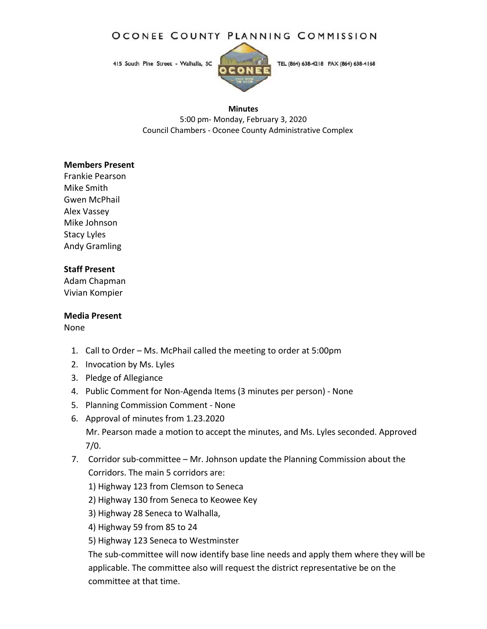# OCONEE COUNTY PLANNING COMMISSION

415 South Pine Street - Walhalla, SC



TEL (864) 638-4218 FAX (864) 638-4168

#### **Minutes**

5:00 pm‐ Monday, February 3, 2020 Council Chambers ‐ Oconee County Administrative Complex

#### **Members Present**

Frankie Pearson Mike Smith Gwen McPhail Alex Vassey Mike Johnson Stacy Lyles Andy Gramling

## **Staff Present**

Adam Chapman Vivian Kompier

### **Media Present**

None

- 1. Call to Order Ms. McPhail called the meeting to order at 5:00pm
- 2. Invocation by Ms. Lyles
- 3. Pledge of Allegiance
- 4. Public Comment for Non‐Agenda Items (3 minutes per person) ‐ None
- 5. Planning Commission Comment ‐ None
- 6. Approval of minutes from 1.23.2020 Mr. Pearson made a motion to accept the minutes, and Ms. Lyles seconded. Approved 7/0.
- 7. Corridor sub-committee Mr. Johnson update the Planning Commission about the Corridors. The main 5 corridors are:
	- 1) Highway 123 from Clemson to Seneca
	- 2) Highway 130 from Seneca to Keowee Key
	- 3) Highway 28 Seneca to Walhalla,
	- 4) Highway 59 from 85 to 24

5) Highway 123 Seneca to Westminster

The sub-committee will now identify base line needs and apply them where they will be applicable. The committee also will request the district representative be on the committee at that time.